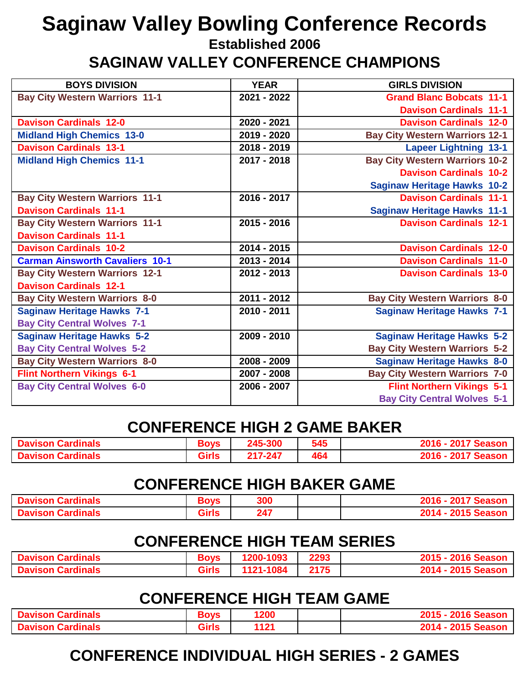# **Saginaw Valley Bowling Conference Records**

**Established 2006**

**SAGINAW VALLEY CONFERENCE CHAMPIONS**

| <b>BOYS DIVISION</b>                   | <b>YEAR</b> | <b>GIRLS DIVISION</b>                 |
|----------------------------------------|-------------|---------------------------------------|
| <b>Bay City Western Warriors 11-1</b>  | 2021 - 2022 | <b>Grand Blanc Bobcats 11-1</b>       |
|                                        |             | <b>Davison Cardinals 11-1</b>         |
| <b>Davison Cardinals 12-0</b>          | 2020 - 2021 | <b>Davison Cardinals 12-0</b>         |
| <b>Midland High Chemics 13-0</b>       | 2019 - 2020 | <b>Bay City Western Warriors 12-1</b> |
| <b>Davison Cardinals 13-1</b>          | 2018 - 2019 | <b>Lapeer Lightning 13-1</b>          |
| <b>Midland High Chemics 11-1</b>       | 2017 - 2018 | <b>Bay City Western Warriors 10-2</b> |
|                                        |             | <b>Davison Cardinals 10-2</b>         |
|                                        |             | <b>Saginaw Heritage Hawks 10-2</b>    |
| <b>Bay City Western Warriors 11-1</b>  | 2016 - 2017 | <b>Davison Cardinals 11-1</b>         |
| <b>Davison Cardinals 11-1</b>          |             | <b>Saginaw Heritage Hawks 11-1</b>    |
| <b>Bay City Western Warriors 11-1</b>  | 2015 - 2016 | <b>Davison Cardinals 12-1</b>         |
| <b>Davison Cardinals 11-1</b>          |             |                                       |
| <b>Davison Cardinals 10-2</b>          | 2014 - 2015 | <b>Davison Cardinals 12-0</b>         |
| <b>Carman Ainsworth Cavaliers 10-1</b> | 2013 - 2014 | <b>Davison Cardinals 11-0</b>         |
| <b>Bay City Western Warriors 12-1</b>  | 2012 - 2013 | <b>Davison Cardinals 13-0</b>         |
| <b>Davison Cardinals 12-1</b>          |             |                                       |
| <b>Bay City Western Warriors 8-0</b>   | 2011 - 2012 | <b>Bay City Western Warriors 8-0</b>  |
| <b>Saginaw Heritage Hawks 7-1</b>      | 2010 - 2011 | <b>Saginaw Heritage Hawks 7-1</b>     |
| <b>Bay City Central Wolves 7-1</b>     |             |                                       |
| <b>Saginaw Heritage Hawks 5-2</b>      | 2009 - 2010 | <b>Saginaw Heritage Hawks 5-2</b>     |
| <b>Bay City Central Wolves 5-2</b>     |             | <b>Bay City Western Warriors 5-2</b>  |
| <b>Bay City Western Warriors 8-0</b>   | 2008 - 2009 | <b>Saginaw Heritage Hawks 8-0</b>     |
| <b>Flint Northern Vikings 6-1</b>      | 2007 - 2008 | <b>Bay City Western Warriors 7-0</b>  |
| <b>Bay City Central Wolves 6-0</b>     | 2006 - 2007 | <b>Flint Northern Vikings 5-1</b>     |
|                                        |             | <b>Bay City Central Wolves 5-1</b>    |

#### **CONFERENCE HIGH 2 GAME BAKER**

| <b>Davison Cardinals</b>      | <b>Boys</b>  | 245 | 545 | 2017 Seasor<br>ZU 1<br>2016 - |
|-------------------------------|--------------|-----|-----|-------------------------------|
| <b>Davison</b><br>ı Cardinals | <b>Girls</b> | 217 | 464 | 2017 Seasor<br>2016 -         |

#### **CONFERENCE HIGH BAKER GAME**

| avison Cardinals<br>. | <b>AR 20</b>                | 300 | <b>0047</b><br><b>Season</b>                   |
|-----------------------|-----------------------------|-----|------------------------------------------------|
| avison Cardinals      | <b>CONTRACTOR</b><br>JII 12 | 247 | <b>SAMP</b><br>'FA-1<br>$^{\circ}$ Season $^-$ |

#### **CONFERENCE HIGH TEAM SERIES**

| <b>Davison Cardinals</b> | 30VS<br>оι   | .200-1093 | 2293 | zuno Seasor          |
|--------------------------|--------------|-----------|------|----------------------|
| <b>Davison Cardinals</b> | <b>Girls</b> | 1121-1084 | 2175 | 14 -<br>kuto Season. |

#### **CONFERENCE HIGH TEAM GAME**

| <b>Davison Cardinals</b>           | <b>lovs</b><br>יי | 200   | 2016 Seasor<br>- כוש  |
|------------------------------------|-------------------|-------|-----------------------|
| Cardinals<br><b>MAVISON Letter</b> | <b>Girls</b>      | 14.04 | 2015 Seasor<br>2014 · |

## **CONFERENCE INDIVIDUAL HIGH SERIES - 2 GAMES**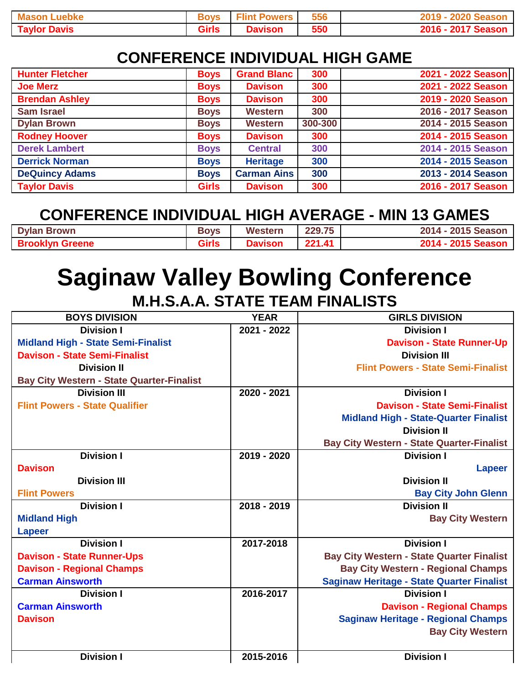| .uebke<br><b>Mason L</b> | Bovs         | <b>Flint Powers</b> | 556 | 2020 Seasor        |
|--------------------------|--------------|---------------------|-----|--------------------|
| <b>Taylor Davis</b>      | <b>Girls</b> | <b>Davison</b>      | 550 | 2016 - 2017 Season |

## **CONFERENCE INDIVIDUAL HIGH GAME**

| <b>Hunter Fletcher</b> | <b>Boys</b>  | <b>Grand Blanc</b> | 300     | 2021 - 2022 Season |
|------------------------|--------------|--------------------|---------|--------------------|
| <b>Joe Merz</b>        | <b>Boys</b>  | <b>Davison</b>     | 300     | 2021 - 2022 Season |
| <b>Brendan Ashley</b>  | <b>Boys</b>  | <b>Davison</b>     | 300     | 2019 - 2020 Season |
| <b>Sam Israel</b>      | <b>Boys</b>  | <b>Western</b>     | 300     | 2016 - 2017 Season |
| <b>Dylan Brown</b>     | <b>Boys</b>  | <b>Western</b>     | 300-300 | 2014 - 2015 Season |
| <b>Rodney Hoover</b>   | <b>Boys</b>  | <b>Davison</b>     | 300     | 2014 - 2015 Season |
| <b>Derek Lambert</b>   | <b>Boys</b>  | <b>Central</b>     | 300     | 2014 - 2015 Season |
| <b>Derrick Norman</b>  | <b>Boys</b>  | <b>Heritage</b>    | 300     | 2014 - 2015 Season |
| <b>DeQuincy Adams</b>  | <b>Boys</b>  | <b>Carman Ains</b> | 300     | 2013 - 2014 Season |
| <b>Taylor Davis</b>    | <b>Girls</b> | <b>Davison</b>     | 300     | 2016 - 2017 Season |

## **CONFERENCE INDIVIDUAL HIGH AVERAGE - MIN 13 GAMES**

| <b>Dylan Brown</b>     | <b>Boys</b>  | Western       | 229.75     | 2014 - 2015 Season   |
|------------------------|--------------|---------------|------------|----------------------|
| <b>Brooklyn Greene</b> | <b>Girls</b> | <b>Javiso</b> | $221$ $41$ | 2015 Seasor<br>2014. |

## **Saginaw Valley Bowling Conference M.H.S.A.A. STATE TEAM FINALISTS**

| <b>BOYS DIVISION</b>                             | <b>YEAR</b> | <b>GIRLS DIVISION</b>                            |
|--------------------------------------------------|-------------|--------------------------------------------------|
| <b>Division I</b>                                | 2021 - 2022 | <b>Division I</b>                                |
| <b>Midland High - State Semi-Finalist</b>        |             | <b>Davison - State Runner-Up</b>                 |
| <b>Davison - State Semi-Finalist</b>             |             | <b>Division III</b>                              |
| <b>Division II</b>                               |             | <b>Flint Powers - State Semi-Finalist</b>        |
| <b>Bay City Western - State Quarter-Finalist</b> |             |                                                  |
| <b>Division III</b>                              | 2020 - 2021 | <b>Division I</b>                                |
| <b>Flint Powers - State Qualifier</b>            |             | <b>Davison - State Semi-Finalist</b>             |
|                                                  |             | <b>Midland High - State-Quarter Finalist</b>     |
|                                                  |             | <b>Division II</b>                               |
|                                                  |             | <b>Bay City Western - State Quarter-Finalist</b> |
| <b>Division I</b>                                | 2019 - 2020 | <b>Division I</b>                                |
| <b>Davison</b>                                   |             | Lapeer                                           |
| <b>Division III</b>                              |             | <b>Division II</b>                               |
| <b>Flint Powers</b>                              |             | <b>Bay City John Glenn</b>                       |
| <b>Division I</b>                                | 2018 - 2019 | <b>Division II</b>                               |
| <b>Midland High</b>                              |             | <b>Bay City Western</b>                          |
| <b>Lapeer</b>                                    |             |                                                  |
| <b>Division I</b>                                | 2017-2018   | <b>Division I</b>                                |
| <b>Davison - State Runner-Ups</b>                |             | <b>Bay City Western - State Quarter Finalist</b> |
| <b>Davison - Regional Champs</b>                 |             | <b>Bay City Western - Regional Champs</b>        |
| <b>Carman Ainsworth</b>                          |             | <b>Saginaw Heritage - State Quarter Finalist</b> |
| <b>Division I</b>                                | 2016-2017   | <b>Division I</b>                                |
| <b>Carman Ainsworth</b>                          |             | <b>Davison - Regional Champs</b>                 |
| <b>Davison</b>                                   |             | <b>Saginaw Heritage - Regional Champs</b>        |
|                                                  |             | <b>Bay City Western</b>                          |
|                                                  |             |                                                  |
| <b>Division I</b>                                | 2015-2016   | <b>Division I</b>                                |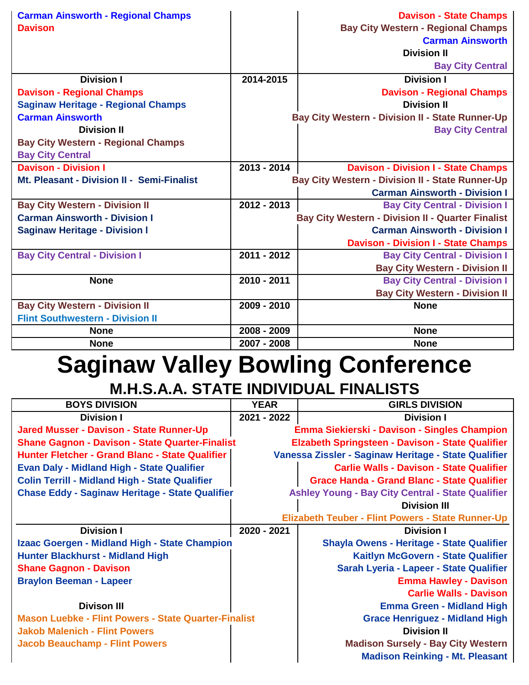|             | <b>Davison - State Champs</b>                            |
|-------------|----------------------------------------------------------|
|             | <b>Bay City Western - Regional Champs</b>                |
|             | <b>Carman Ainsworth</b>                                  |
|             | <b>Division II</b>                                       |
|             | <b>Bay City Central</b>                                  |
| 2014-2015   | <b>Division I</b>                                        |
|             | <b>Davison - Regional Champs</b>                         |
|             | <b>Division II</b>                                       |
|             | <b>Bay City Western - Division II - State Runner-Up</b>  |
|             | <b>Bay City Central</b>                                  |
|             |                                                          |
|             |                                                          |
| 2013 - 2014 | <b>Davison - Division I - State Champs</b>               |
|             | <b>Bay City Western - Division II - State Runner-Up</b>  |
|             | <b>Carman Ainsworth - Division I</b>                     |
| 2012 - 2013 | <b>Bay City Central - Division I</b>                     |
|             | <b>Bay City Western - Division II - Quarter Finalist</b> |
|             | <b>Carman Ainsworth - Division I</b>                     |
|             | <b>Davison - Division I - State Champs</b>               |
| 2011 - 2012 | <b>Bay City Central - Division I</b>                     |
|             | <b>Bay City Western - Division II</b>                    |
| 2010 - 2011 | <b>Bay City Central - Division I</b>                     |
|             | <b>Bay City Western - Division II</b>                    |
| 2009 - 2010 | <b>None</b>                                              |
|             |                                                          |
| 2008 - 2009 | <b>None</b>                                              |
| 2007 - 2008 | <b>None</b>                                              |
|             |                                                          |

## **Saginaw Valley Bowling Conference M.H.S.A.A. STATE INDIVIDUAL FINALISTS**

| <b>BOYS DIVISION</b>                                        | <b>YEAR</b> | <b>GIRLS DIVISION</b>                                    |
|-------------------------------------------------------------|-------------|----------------------------------------------------------|
| <b>Division I</b>                                           | 2021 - 2022 | <b>Division I</b>                                        |
| <b>Jared Musser - Davison - State Runner-Up</b>             |             | Emma Siekierski - Davison - Singles Champion             |
| <b>Shane Gagnon - Davison - State Quarter-Finalist</b>      |             | <b>Elzabeth Springsteen - Davison - State Qualifier</b>  |
| Hunter Fletcher - Grand Blanc - State Qualifier             |             | Vanessa Zissler - Saginaw Heritage - State Qualifier     |
| <b>Evan Daly - Midland High - State Qualifier</b>           |             | <b>Carlie Walls - Davison - State Qualifier</b>          |
| <b>Colin Terrill - Midland High - State Qualifier</b>       |             | <b>Grace Handa - Grand Blanc - State Qualifier</b>       |
| <b>Chase Eddy - Saginaw Heritage - State Qualifier</b>      |             | <b>Ashley Young - Bay City Central - State Qualifier</b> |
|                                                             |             | <b>Division III</b>                                      |
|                                                             |             | <b>Elizabeth Teuber - Flint Powers - State Runner-Up</b> |
| <b>Division I</b>                                           | 2020 - 2021 | <b>Division I</b>                                        |
| Izaac Goergen - Midland High - State Champion               |             | <b>Shayla Owens - Heritage - State Qualifier</b>         |
| <b>Hunter Blackhurst - Midland High</b>                     |             | Kaitlyn McGovern - State Qualifier                       |
| <b>Shane Gagnon - Davison</b>                               |             | Sarah Lyeria - Lapeer - State Qualifier                  |
| <b>Braylon Beeman - Lapeer</b>                              |             | <b>Emma Hawley - Davison</b>                             |
|                                                             |             | <b>Carlie Walls - Davison</b>                            |
| <b>Divison III</b>                                          |             | <b>Emma Green - Midland High</b>                         |
| <b>Mason Luebke - Flint Powers - State Quarter-Finalist</b> |             | <b>Grace Henriguez - Midland High</b>                    |
| <b>Jakob Malenich - Flint Powers</b>                        |             | <b>Division II</b>                                       |
| <b>Jacob Beauchamp - Flint Powers</b>                       |             | <b>Madison Sursely - Bay City Western</b>                |
|                                                             |             | <b>Madison Reinking - Mt. Pleasant</b>                   |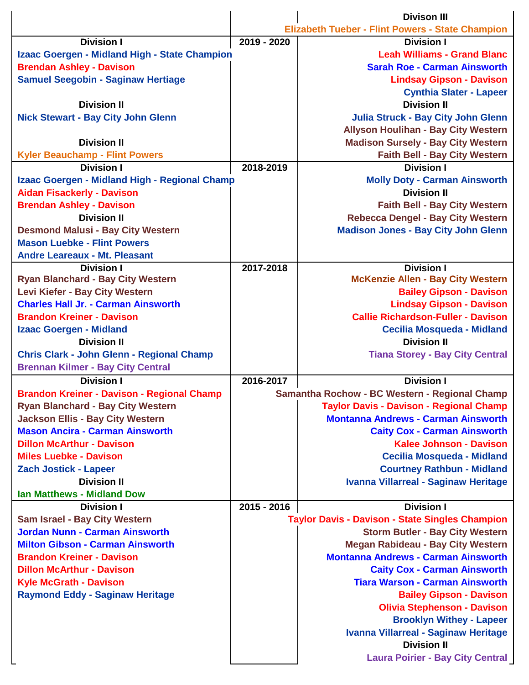|                                                   |             | <b>Divison III</b>                                      |
|---------------------------------------------------|-------------|---------------------------------------------------------|
|                                                   |             | <b>Elizabeth Tueber - Flint Powers - State Champion</b> |
| <b>Division I</b>                                 | 2019 - 2020 | <b>Division I</b>                                       |
| Izaac Goergen - Midland High - State Champion     |             | <b>Leah Williams - Grand Blanc</b>                      |
| <b>Brendan Ashley - Davison</b>                   |             | <b>Sarah Roe - Carman Ainsworth</b>                     |
| <b>Samuel Seegobin - Saginaw Hertiage</b>         |             | <b>Lindsay Gipson - Davison</b>                         |
|                                                   |             | <b>Cynthia Slater - Lapeer</b>                          |
| <b>Division II</b>                                |             | <b>Division II</b>                                      |
| <b>Nick Stewart - Bay City John Glenn</b>         |             | <b>Julia Struck - Bay City John Glenn</b>               |
|                                                   |             | <b>Allyson Houlihan - Bay City Western</b>              |
| <b>Division II</b>                                |             | <b>Madison Sursely - Bay City Western</b>               |
| <b>Kyler Beauchamp - Flint Powers</b>             |             | <b>Faith Bell - Bay City Western</b>                    |
| <b>Division I</b>                                 | 2018-2019   | <b>Division I</b>                                       |
| Izaac Goergen - Midland High - Regional Champ     |             | <b>Molly Doty - Carman Ainsworth</b>                    |
| <b>Aidan Fisackerly - Davison</b>                 |             | <b>Division II</b>                                      |
| <b>Brendan Ashley - Davison</b>                   |             | <b>Faith Bell - Bay City Western</b>                    |
| <b>Division II</b>                                |             | <b>Rebecca Dengel - Bay City Western</b>                |
| <b>Desmond Malusi - Bay City Western</b>          |             | <b>Madison Jones - Bay City John Glenn</b>              |
| <b>Mason Luebke - Flint Powers</b>                |             |                                                         |
| <b>Andre Leareaux - Mt. Pleasant</b>              |             |                                                         |
| <b>Division I</b>                                 | 2017-2018   | <b>Division I</b>                                       |
| <b>Ryan Blanchard - Bay City Western</b>          |             | <b>McKenzie Allen - Bay City Western</b>                |
| Levi Kiefer - Bay City Western                    |             | <b>Bailey Gipson - Davison</b>                          |
| <b>Charles Hall Jr. - Carman Ainsworth</b>        |             | <b>Lindsay Gipson - Davison</b>                         |
| <b>Brandon Kreiner - Davison</b>                  |             | <b>Callie Richardson-Fuller - Davison</b>               |
| <b>Izaac Goergen - Midland</b>                    |             | <b>Cecilia Mosqueda - Midland</b>                       |
| <b>Division II</b>                                |             | <b>Division II</b>                                      |
| <b>Chris Clark - John Glenn - Regional Champ</b>  |             | <b>Tiana Storey - Bay City Central</b>                  |
| <b>Brennan Kilmer - Bay City Central</b>          |             |                                                         |
| <b>Division I</b>                                 | 2016-2017   | <b>Division I</b>                                       |
| <b>Brandon Kreiner - Davison - Regional Champ</b> |             | Samantha Rochow - BC Western - Regional Champ           |
| <b>Ryan Blanchard - Bay City Western</b>          |             | <b>Taylor Davis - Davison - Regional Champ</b>          |
| <b>Jackson Ellis - Bay City Western</b>           |             | <b>Montanna Andrews - Carman Ainsworth</b>              |
| <b>Mason Ancira - Carman Ainsworth</b>            |             | <b>Caity Cox - Carman Ainsworth</b>                     |
| <b>Dillon McArthur - Davison</b>                  |             | <b>Kalee Johnson - Davison</b>                          |
| <b>Miles Luebke - Davison</b>                     |             | <b>Cecilia Mosqueda - Midland</b>                       |
| <b>Zach Jostick - Lapeer</b>                      |             | <b>Courtney Rathbun - Midland</b>                       |
| <b>Division II</b>                                |             | Ivanna Villarreal - Saginaw Heritage                    |
| <b>Ian Matthews - Midland Dow</b>                 |             |                                                         |
| <b>Division I</b>                                 | 2015 - 2016 | <b>Division I</b>                                       |
| Sam Israel - Bay City Western                     |             | <b>Taylor Davis - Davison - State Singles Champion</b>  |
| <b>Jordan Nunn - Carman Ainsworth</b>             |             | <b>Storm Butler - Bay City Western</b>                  |
| <b>Milton Gibson - Carman Ainsworth</b>           |             | <b>Megan Rabideau - Bay City Western</b>                |
| <b>Brandon Kreiner - Davison</b>                  |             | <b>Montanna Andrews - Carman Ainsworth</b>              |
| <b>Dillon McArthur - Davison</b>                  |             | <b>Caity Cox - Carman Ainsworth</b>                     |
| <b>Kyle McGrath - Davison</b>                     |             | <b>Tiara Warson - Carman Ainsworth</b>                  |
| <b>Raymond Eddy - Saginaw Heritage</b>            |             | <b>Bailey Gipson - Davison</b>                          |
|                                                   |             | <b>Olivia Stephenson - Davison</b>                      |
|                                                   |             | <b>Brooklyn Withey - Lapeer</b>                         |
|                                                   |             | Ivanna Villarreal - Saginaw Heritage                    |
|                                                   |             | <b>Division II</b>                                      |
|                                                   |             | <b>Laura Poirier - Bay City Central</b>                 |